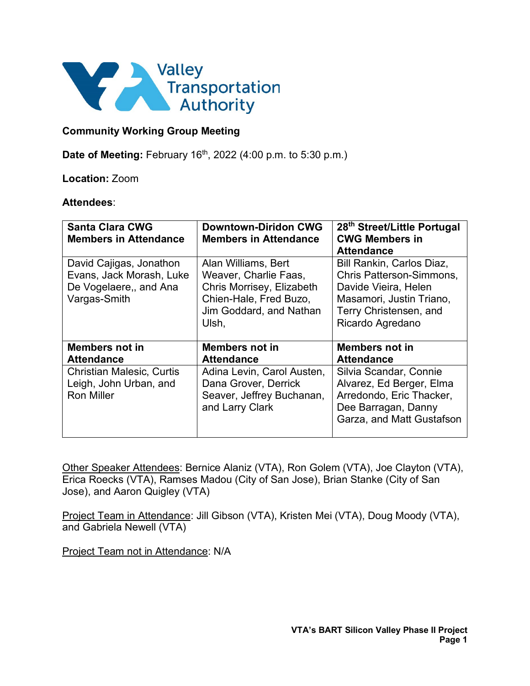

## **Community Working Group Meeting**

**Date of Meeting:** February 16<sup>th</sup>, 2022 (4:00 p.m. to 5:30 p.m.)

### **Location:** Zoom

#### **Attendees**:

| <b>Santa Clara CWG</b><br><b>Members in Attendance</b>                                        | <b>Downtown-Diridon CWG</b><br><b>Members in Attendance</b>                                                                             | 28 <sup>th</sup> Street/Little Portugal<br><b>CWG Members in</b><br><b>Attendance</b>                                                                          |
|-----------------------------------------------------------------------------------------------|-----------------------------------------------------------------------------------------------------------------------------------------|----------------------------------------------------------------------------------------------------------------------------------------------------------------|
| David Cajigas, Jonathon<br>Evans, Jack Morash, Luke<br>De Vogelaere,, and Ana<br>Vargas-Smith | Alan Williams, Bert<br>Weaver, Charlie Faas,<br>Chris Morrisey, Elizabeth<br>Chien-Hale, Fred Buzo,<br>Jim Goddard, and Nathan<br>Ulsh, | Bill Rankin, Carlos Diaz,<br><b>Chris Patterson-Simmons,</b><br>Davide Vieira, Helen<br>Masamori, Justin Triano,<br>Terry Christensen, and<br>Ricardo Agredano |
| <b>Members not in</b><br><b>Attendance</b>                                                    | <b>Members not in</b><br><b>Attendance</b>                                                                                              | <b>Members not in</b><br><b>Attendance</b>                                                                                                                     |
| <b>Christian Malesic, Curtis</b><br>Leigh, John Urban, and<br><b>Ron Miller</b>               | Adina Levin, Carol Austen,<br>Dana Grover, Derrick<br>Seaver, Jeffrey Buchanan,<br>and Larry Clark                                      | Silvia Scandar, Connie<br>Alvarez, Ed Berger, Elma<br>Arredondo, Eric Thacker,<br>Dee Barragan, Danny<br>Garza, and Matt Gustafson                             |

Other Speaker Attendees: Bernice Alaniz (VTA), Ron Golem (VTA), Joe Clayton (VTA), Erica Roecks (VTA), Ramses Madou (City of San Jose), Brian Stanke (City of San Jose), and Aaron Quigley (VTA)

Project Team in Attendance: Jill Gibson (VTA), Kristen Mei (VTA), Doug Moody (VTA), and Gabriela Newell (VTA)

Project Team not in Attendance: N/A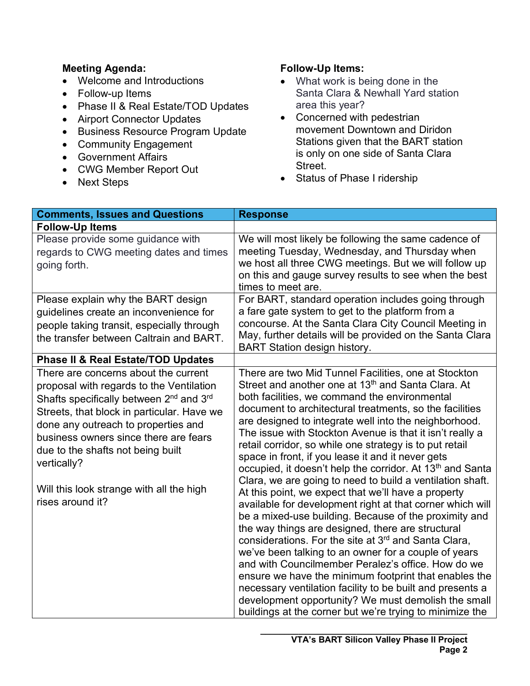## **Meeting Agenda:**

- Welcome and Introductions
- Follow-up Items
- Phase II & Real Estate/TOD Updates
- Airport Connector Updates
- Business Resource Program Update
- Community Engagement
- Government Affairs
- CWG Member Report Out
- Next Steps

# **Follow-Up Items:**

- What work is being done in the Santa Clara & Newhall Yard station area this year?
- Concerned with pedestrian movement Downtown and Diridon Stations given that the BART station is only on one side of Santa Clara Street.
- Status of Phase I ridership

| <b>Comments, Issues and Questions</b>                                                                                                                                                                                                                                                                                                                                                                 | <b>Response</b>                                                                                                                                                                                                                                                                                                                                                                                                                                                                                                                                                                                                                                                                                                                                                                                                                                                                                                                                                                                                                                                                                                                                                                                                                                                            |
|-------------------------------------------------------------------------------------------------------------------------------------------------------------------------------------------------------------------------------------------------------------------------------------------------------------------------------------------------------------------------------------------------------|----------------------------------------------------------------------------------------------------------------------------------------------------------------------------------------------------------------------------------------------------------------------------------------------------------------------------------------------------------------------------------------------------------------------------------------------------------------------------------------------------------------------------------------------------------------------------------------------------------------------------------------------------------------------------------------------------------------------------------------------------------------------------------------------------------------------------------------------------------------------------------------------------------------------------------------------------------------------------------------------------------------------------------------------------------------------------------------------------------------------------------------------------------------------------------------------------------------------------------------------------------------------------|
| <b>Follow-Up Items</b>                                                                                                                                                                                                                                                                                                                                                                                |                                                                                                                                                                                                                                                                                                                                                                                                                                                                                                                                                                                                                                                                                                                                                                                                                                                                                                                                                                                                                                                                                                                                                                                                                                                                            |
| Please provide some guidance with<br>regards to CWG meeting dates and times<br>going forth.                                                                                                                                                                                                                                                                                                           | We will most likely be following the same cadence of<br>meeting Tuesday, Wednesday, and Thursday when<br>we host all three CWG meetings. But we will follow up<br>on this and gauge survey results to see when the best<br>times to meet are.                                                                                                                                                                                                                                                                                                                                                                                                                                                                                                                                                                                                                                                                                                                                                                                                                                                                                                                                                                                                                              |
| Please explain why the BART design<br>guidelines create an inconvenience for<br>people taking transit, especially through<br>the transfer between Caltrain and BART.                                                                                                                                                                                                                                  | For BART, standard operation includes going through<br>a fare gate system to get to the platform from a<br>concourse. At the Santa Clara City Council Meeting in<br>May, further details will be provided on the Santa Clara<br><b>BART Station design history.</b>                                                                                                                                                                                                                                                                                                                                                                                                                                                                                                                                                                                                                                                                                                                                                                                                                                                                                                                                                                                                        |
| <b>Phase II &amp; Real Estate/TOD Updates</b>                                                                                                                                                                                                                                                                                                                                                         |                                                                                                                                                                                                                                                                                                                                                                                                                                                                                                                                                                                                                                                                                                                                                                                                                                                                                                                                                                                                                                                                                                                                                                                                                                                                            |
| There are concerns about the current<br>proposal with regards to the Ventilation<br>Shafts specifically between 2 <sup>nd</sup> and 3 <sup>rd</sup><br>Streets, that block in particular. Have we<br>done any outreach to properties and<br>business owners since there are fears<br>due to the shafts not being built<br>vertically?<br>Will this look strange with all the high<br>rises around it? | There are two Mid Tunnel Facilities, one at Stockton<br>Street and another one at 13 <sup>th</sup> and Santa Clara. At<br>both facilities, we command the environmental<br>document to architectural treatments, so the facilities<br>are designed to integrate well into the neighborhood.<br>The issue with Stockton Avenue is that it isn't really a<br>retail corridor, so while one strategy is to put retail<br>space in front, if you lease it and it never gets<br>occupied, it doesn't help the corridor. At 13 <sup>th</sup> and Santa<br>Clara, we are going to need to build a ventilation shaft.<br>At this point, we expect that we'll have a property<br>available for development right at that corner which will<br>be a mixed-use building. Because of the proximity and<br>the way things are designed, there are structural<br>considerations. For the site at 3 <sup>rd</sup> and Santa Clara,<br>we've been talking to an owner for a couple of years<br>and with Councilmember Peralez's office. How do we<br>ensure we have the minimum footprint that enables the<br>necessary ventilation facility to be built and presents a<br>development opportunity? We must demolish the small<br>buildings at the corner but we're trying to minimize the |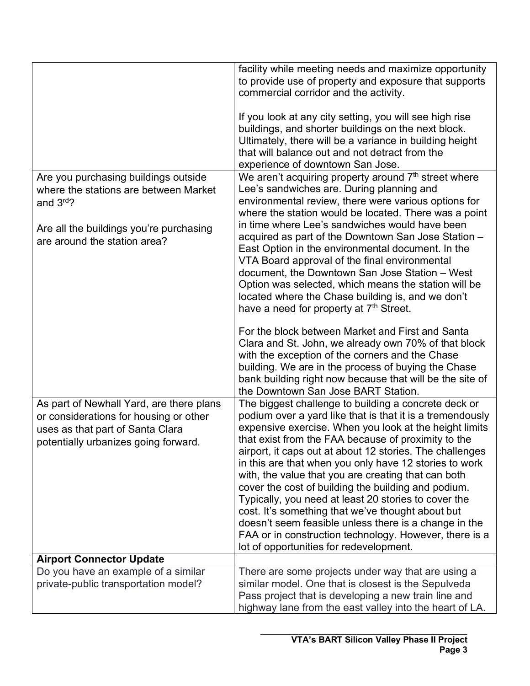|                                          | facility while meeting needs and maximize opportunity                                             |
|------------------------------------------|---------------------------------------------------------------------------------------------------|
|                                          | to provide use of property and exposure that supports                                             |
|                                          | commercial corridor and the activity.                                                             |
|                                          | If you look at any city setting, you will see high rise                                           |
|                                          | buildings, and shorter buildings on the next block.                                               |
|                                          | Ultimately, there will be a variance in building height                                           |
|                                          | that will balance out and not detract from the                                                    |
|                                          | experience of downtown San Jose.                                                                  |
| Are you purchasing buildings outside     | We aren't acquiring property around $7th$ street where                                            |
| where the stations are between Market    | Lee's sandwiches are. During planning and                                                         |
| and 3rd?                                 | environmental review, there were various options for                                              |
|                                          | where the station would be located. There was a point                                             |
| Are all the buildings you're purchasing  | in time where Lee's sandwiches would have been                                                    |
| are around the station area?             | acquired as part of the Downtown San Jose Station -                                               |
|                                          | East Option in the environmental document. In the                                                 |
|                                          | VTA Board approval of the final environmental<br>document, the Downtown San Jose Station - West   |
|                                          | Option was selected, which means the station will be                                              |
|                                          | located where the Chase building is, and we don't                                                 |
|                                          | have a need for property at 7 <sup>th</sup> Street.                                               |
|                                          |                                                                                                   |
|                                          | For the block between Market and First and Santa                                                  |
|                                          | Clara and St. John, we already own 70% of that block                                              |
|                                          | with the exception of the corners and the Chase                                                   |
|                                          | building. We are in the process of buying the Chase                                               |
|                                          | bank building right now because that will be the site of<br>the Downtown San Jose BART Station.   |
| As part of Newhall Yard, are there plans | The biggest challenge to building a concrete deck or                                              |
| or considerations for housing or other   | podium over a yard like that is that it is a tremendously                                         |
| uses as that part of Santa Clara         | expensive exercise. When you look at the height limits                                            |
| potentially urbanizes going forward.     | that exist from the FAA because of proximity to the                                               |
|                                          | airport, it caps out at about 12 stories. The challenges                                          |
|                                          | in this are that when you only have 12 stories to work                                            |
|                                          | with, the value that you are creating that can both                                               |
|                                          | cover the cost of building the building and podium.                                               |
|                                          | Typically, you need at least 20 stories to cover the                                              |
|                                          | cost. It's something that we've thought about but                                                 |
|                                          | doesn't seem feasible unless there is a change in the                                             |
|                                          | FAA or in construction technology. However, there is a<br>lot of opportunities for redevelopment. |
| <b>Airport Connector Update</b>          |                                                                                                   |
| Do you have an example of a similar      | There are some projects under way that are using a                                                |
| private-public transportation model?     | similar model. One that is closest is the Sepulveda                                               |
|                                          | Pass project that is developing a new train line and                                              |
|                                          | highway lane from the east valley into the heart of LA.                                           |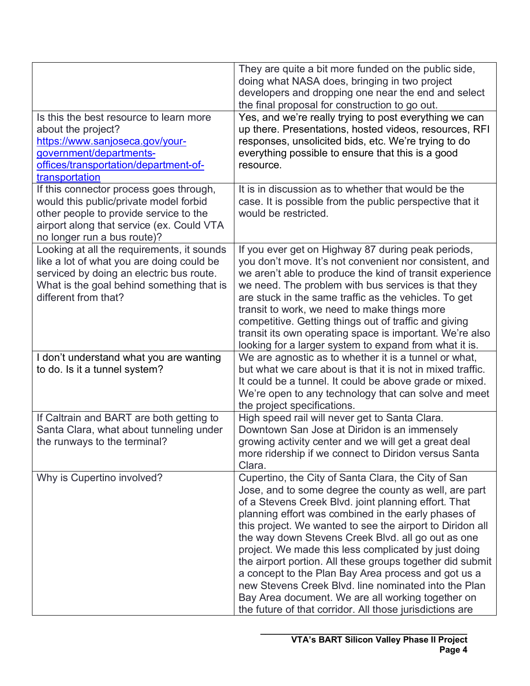| Is this the best resource to learn more<br>about the project?<br>https://www.sanjoseca.gov/your-                                                                                                         | They are quite a bit more funded on the public side,<br>doing what NASA does, bringing in two project<br>developers and dropping one near the end and select<br>the final proposal for construction to go out.<br>Yes, and we're really trying to post everything we can<br>up there. Presentations, hosted videos, resources, RFI<br>responses, unsolicited bids, etc. We're trying to do                                                                                                                                                                                                                                                                                                          |
|----------------------------------------------------------------------------------------------------------------------------------------------------------------------------------------------------------|-----------------------------------------------------------------------------------------------------------------------------------------------------------------------------------------------------------------------------------------------------------------------------------------------------------------------------------------------------------------------------------------------------------------------------------------------------------------------------------------------------------------------------------------------------------------------------------------------------------------------------------------------------------------------------------------------------|
| government/departments-<br>offices/transportation/department-of-<br>transportation                                                                                                                       | everything possible to ensure that this is a good<br>resource.                                                                                                                                                                                                                                                                                                                                                                                                                                                                                                                                                                                                                                      |
| If this connector process goes through,<br>would this public/private model forbid<br>other people to provide service to the<br>airport along that service (ex. Could VTA<br>no longer run a bus route)?  | It is in discussion as to whether that would be the<br>case. It is possible from the public perspective that it<br>would be restricted.                                                                                                                                                                                                                                                                                                                                                                                                                                                                                                                                                             |
| Looking at all the requirements, it sounds<br>like a lot of what you are doing could be<br>serviced by doing an electric bus route.<br>What is the goal behind something that is<br>different from that? | If you ever get on Highway 87 during peak periods,<br>you don't move. It's not convenient nor consistent, and<br>we aren't able to produce the kind of transit experience<br>we need. The problem with bus services is that they<br>are stuck in the same traffic as the vehicles. To get<br>transit to work, we need to make things more<br>competitive. Getting things out of traffic and giving<br>transit its own operating space is important. We're also<br>looking for a larger system to expand from what it is.                                                                                                                                                                            |
| I don't understand what you are wanting<br>to do. Is it a tunnel system?                                                                                                                                 | We are agnostic as to whether it is a tunnel or what,<br>but what we care about is that it is not in mixed traffic.<br>It could be a tunnel. It could be above grade or mixed.<br>We're open to any technology that can solve and meet<br>the project specifications.                                                                                                                                                                                                                                                                                                                                                                                                                               |
| If Caltrain and BART are both getting to<br>Santa Clara, what about tunneling under<br>the runways to the terminal?                                                                                      | High speed rail will never get to Santa Clara.<br>Downtown San Jose at Diridon is an immensely<br>growing activity center and we will get a great deal<br>more ridership if we connect to Diridon versus Santa<br>Clara.                                                                                                                                                                                                                                                                                                                                                                                                                                                                            |
| Why is Cupertino involved?                                                                                                                                                                               | Cupertino, the City of Santa Clara, the City of San<br>Jose, and to some degree the county as well, are part<br>of a Stevens Creek Blvd. joint planning effort. That<br>planning effort was combined in the early phases of<br>this project. We wanted to see the airport to Diridon all<br>the way down Stevens Creek Blvd. all go out as one<br>project. We made this less complicated by just doing<br>the airport portion. All these groups together did submit<br>a concept to the Plan Bay Area process and got us a<br>new Stevens Creek Blvd. line nominated into the Plan<br>Bay Area document. We are all working together on<br>the future of that corridor. All those jurisdictions are |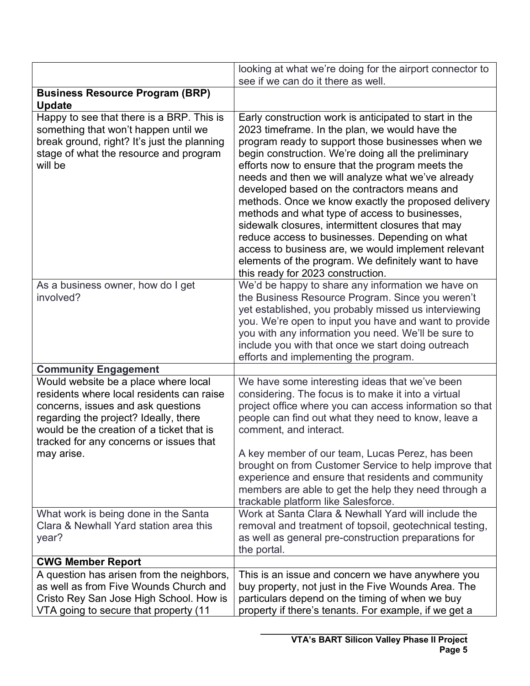|                                                                                                                                                                                                                                                          | looking at what we're doing for the airport connector to<br>see if we can do it there as well.                                                                                                                                                                                                                                                                                                                                                                                                                                                                                                                                                                                                                                                   |
|----------------------------------------------------------------------------------------------------------------------------------------------------------------------------------------------------------------------------------------------------------|--------------------------------------------------------------------------------------------------------------------------------------------------------------------------------------------------------------------------------------------------------------------------------------------------------------------------------------------------------------------------------------------------------------------------------------------------------------------------------------------------------------------------------------------------------------------------------------------------------------------------------------------------------------------------------------------------------------------------------------------------|
| <b>Business Resource Program (BRP)</b><br><b>Update</b>                                                                                                                                                                                                  |                                                                                                                                                                                                                                                                                                                                                                                                                                                                                                                                                                                                                                                                                                                                                  |
| Happy to see that there is a BRP. This is<br>something that won't happen until we<br>break ground, right? It's just the planning<br>stage of what the resource and program<br>will be                                                                    | Early construction work is anticipated to start in the<br>2023 timeframe. In the plan, we would have the<br>program ready to support those businesses when we<br>begin construction. We're doing all the preliminary<br>efforts now to ensure that the program meets the<br>needs and then we will analyze what we've already<br>developed based on the contractors means and<br>methods. Once we know exactly the proposed delivery<br>methods and what type of access to businesses,<br>sidewalk closures, intermittent closures that may<br>reduce access to businesses. Depending on what<br>access to business are, we would implement relevant<br>elements of the program. We definitely want to have<br>this ready for 2023 construction. |
| As a business owner, how do I get<br>involved?                                                                                                                                                                                                           | We'd be happy to share any information we have on<br>the Business Resource Program. Since you weren't<br>yet established, you probably missed us interviewing<br>you. We're open to input you have and want to provide<br>you with any information you need. We'll be sure to<br>include you with that once we start doing outreach<br>efforts and implementing the program.                                                                                                                                                                                                                                                                                                                                                                     |
| <b>Community Engagement</b>                                                                                                                                                                                                                              |                                                                                                                                                                                                                                                                                                                                                                                                                                                                                                                                                                                                                                                                                                                                                  |
| Would website be a place where local<br>residents where local residents can raise<br>concerns, issues and ask questions<br>regarding the project? Ideally, there<br>would be the creation of a ticket that is<br>tracked for any concerns or issues that | We have some interesting ideas that we've been<br>considering. The focus is to make it into a virtual<br>project office where you can access information so that<br>people can find out what they need to know, leave a<br>comment, and interact.                                                                                                                                                                                                                                                                                                                                                                                                                                                                                                |
| may arise.                                                                                                                                                                                                                                               | A key member of our team, Lucas Perez, has been<br>brought on from Customer Service to help improve that<br>experience and ensure that residents and community<br>members are able to get the help they need through a<br>trackable platform like Salesforce.                                                                                                                                                                                                                                                                                                                                                                                                                                                                                    |
| What work is being done in the Santa<br>Clara & Newhall Yard station area this<br>year?                                                                                                                                                                  | Work at Santa Clara & Newhall Yard will include the<br>removal and treatment of topsoil, geotechnical testing,<br>as well as general pre-construction preparations for<br>the portal.                                                                                                                                                                                                                                                                                                                                                                                                                                                                                                                                                            |
| <b>CWG Member Report</b>                                                                                                                                                                                                                                 |                                                                                                                                                                                                                                                                                                                                                                                                                                                                                                                                                                                                                                                                                                                                                  |
| A question has arisen from the neighbors,<br>as well as from Five Wounds Church and<br>Cristo Rey San Jose High School. How is<br>VTA going to secure that property (11                                                                                  | This is an issue and concern we have anywhere you<br>buy property, not just in the Five Wounds Area. The<br>particulars depend on the timing of when we buy<br>property if there's tenants. For example, if we get a                                                                                                                                                                                                                                                                                                                                                                                                                                                                                                                             |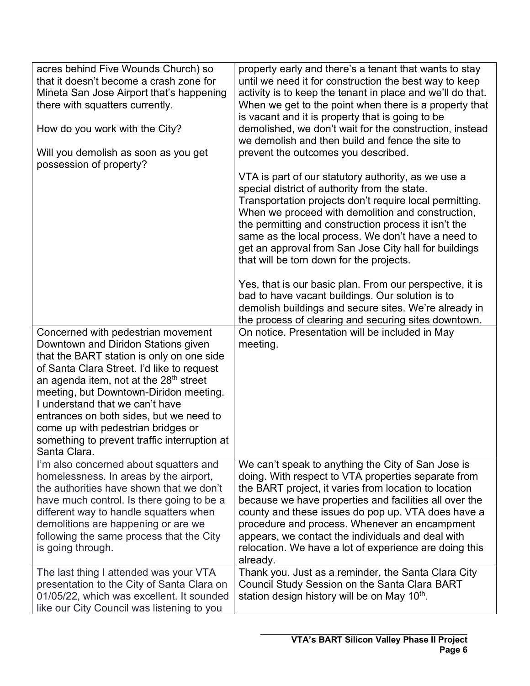| acres behind Five Wounds Church) so<br>that it doesn't become a crash zone for<br>Mineta San Jose Airport that's happening<br>there with squatters currently.<br>How do you work with the City?<br>Will you demolish as soon as you get<br>possession of property?                                                                                                                                                                             | property early and there's a tenant that wants to stay<br>until we need it for construction the best way to keep<br>activity is to keep the tenant in place and we'll do that.<br>When we get to the point when there is a property that<br>is vacant and it is property that is going to be<br>demolished, we don't wait for the construction, instead<br>we demolish and then build and fence the site to<br>prevent the outcomes you described.             |
|------------------------------------------------------------------------------------------------------------------------------------------------------------------------------------------------------------------------------------------------------------------------------------------------------------------------------------------------------------------------------------------------------------------------------------------------|----------------------------------------------------------------------------------------------------------------------------------------------------------------------------------------------------------------------------------------------------------------------------------------------------------------------------------------------------------------------------------------------------------------------------------------------------------------|
|                                                                                                                                                                                                                                                                                                                                                                                                                                                | VTA is part of our statutory authority, as we use a<br>special district of authority from the state.<br>Transportation projects don't require local permitting.<br>When we proceed with demolition and construction,<br>the permitting and construction process it isn't the<br>same as the local process. We don't have a need to<br>get an approval from San Jose City hall for buildings<br>that will be torn down for the projects.                        |
|                                                                                                                                                                                                                                                                                                                                                                                                                                                | Yes, that is our basic plan. From our perspective, it is<br>bad to have vacant buildings. Our solution is to<br>demolish buildings and secure sites. We're already in<br>the process of clearing and securing sites downtown.                                                                                                                                                                                                                                  |
| Concerned with pedestrian movement<br>Downtown and Diridon Stations given<br>that the BART station is only on one side<br>of Santa Clara Street. I'd like to request<br>an agenda item, not at the $28th$ street<br>meeting, but Downtown-Diridon meeting.<br>I understand that we can't have<br>entrances on both sides, but we need to<br>come up with pedestrian bridges or<br>something to prevent traffic interruption at<br>Santa Clara. | On notice. Presentation will be included in May<br>meeting.                                                                                                                                                                                                                                                                                                                                                                                                    |
| I'm also concerned about squatters and<br>homelessness. In areas by the airport,<br>the authorities have shown that we don't<br>have much control. Is there going to be a<br>different way to handle squatters when<br>demolitions are happening or are we<br>following the same process that the City<br>is going through.                                                                                                                    | We can't speak to anything the City of San Jose is<br>doing. With respect to VTA properties separate from<br>the BART project, it varies from location to location<br>because we have properties and facilities all over the<br>county and these issues do pop up. VTA does have a<br>procedure and process. Whenever an encampment<br>appears, we contact the individuals and deal with<br>relocation. We have a lot of experience are doing this<br>already. |
| The last thing I attended was your VTA<br>presentation to the City of Santa Clara on<br>01/05/22, which was excellent. It sounded<br>like our City Council was listening to you                                                                                                                                                                                                                                                                | Thank you. Just as a reminder, the Santa Clara City<br>Council Study Session on the Santa Clara BART<br>station design history will be on May 10 <sup>th</sup> .                                                                                                                                                                                                                                                                                               |